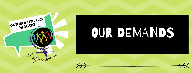

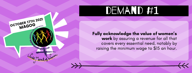#### Fully acknowledge the value of women's work by assuring a revenue for all that covers every essential need, notably by raising the minimum wage to \$15 an houi

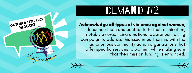Acknowledge all types of violence against women, denounce them and contribute to their elimination, notably by organizing a national awareness-raising campaign to address this issue in partnership with the autonomous community action organizations that offer specific services to women, while making sure that their mission funding is enhance OCTOBER 17TH 2021<br>
MAGOG<br>
MAGOG<br>
MAGOG<br>
MAGOG<br>
MAGOG<br>
MAGOG<br>
MAGOG<br>
MAGOG<br>
MAGOG<br>
MAGOG<br>
MAGOG<br>
MAGOG<br>
MAGOG<br>
MAGOG<br>
MAGOG<br>
MAGOG<br>
MAGOG<br>
MAGOG<br>
MAGOG<br>
MAGOG<br>
MAGOG<br>
MAGOG<br>
MAGOG<br>
MAGOG<br>
MAGOG<br>
MAGOG<br>
MAGOG<br>
MAGOG<br>
MAGOG<br>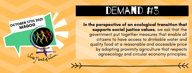In the perspective of an ecological transition that supports social justice values, we ask that the government put together measures that enable all citizens to have access to drinkable water and quality food at a reasonable and accessible price by adopting proximity agriculture that respects agroecology and circular economy principles OCTOBER 17TH 2021<br>
MAGOG<br>
MAGOG<br>
MAGOG<br>
MAGOG<br>
SURPORTED TO THE SURPORT OF THE SURPORT OF THE SURPORT OF THE SURPORT OF THE SURPORT OF THE SURPORT OF THE SURPORT OF THE SURPORT OF THE SURPORT OF THE SURPORT OF THE SURPORT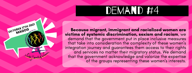

OCTOBER 17TH 2021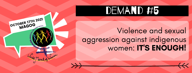OCTOBER 17TH 2021

# Violence and sexual aggression against indigenous<br>women: IT'S ENOUGH!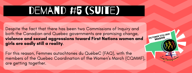### DEMAND #5 (SUITE)

Despite the fact that there has been two Commissions of Inquiry and both the Canadian and Quebec governments are promising change, violence and sexual aggressions toward First Nations women and girls are sadly still a reality.

OCTOBER 17TH 2021

For this reason, Femmes autochtones du QuébeC (FAQ), with the members of the Quebec Coordination of the Women's March (CQMMF), are getting together.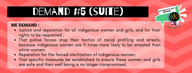#### DEMAND #5 (SUITE)

#### WE DEMAND :

Justice and reparation for all indigenous women and girls, and for their rights to be respected ;

OCTOBER 17TH 202

- That police forces stop their tactics of racial profiling and arrests, because indigenous women are 11 times more likely to be arrested than white women;
- Reparation for the forced sterilization of indigenous women;
- That specific measures be established to ensure these women and girls are safe and their well being is no longer compromised.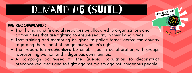## DEMAND #5 (SUITE)

#### WE RECOMMAND :

- That human and financial resources be allocated to organizations and communities that are fighting to ensure security in their living areas;
- That training and mentoring be given to police forces across the country regarding the respect of indigenous women's rights;

OCTOBER 17TH 2021

- That reparation mechanisms be established in collaboration with groups representing women and indigenous communities;
- A campaign addressed to the Quebec population to deconstruct preconceived ideas and to fight against racism against indigenous people.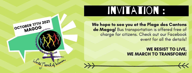### invitation :

We hope to see you at the Plage des Cantons de Magog! Bus transportation is offered free of charge for citizens. Check out our Facebook event for all the details!

> WE RESIST TO LIVE, WE MARCH TO TRANSFORM!